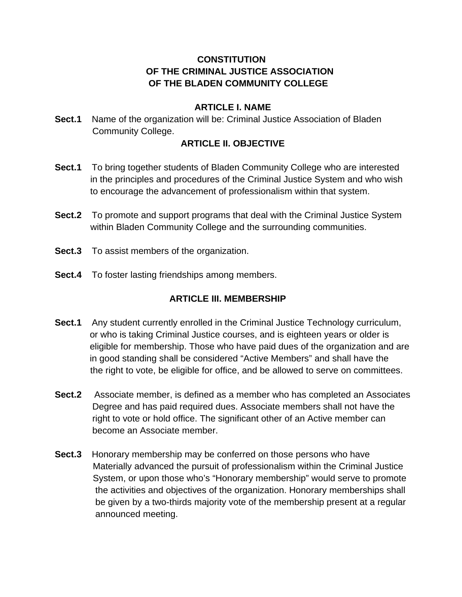## **CONSTITUTION OF THE CRIMINAL JUSTICE ASSOCIATION OF THE BLADEN COMMUNITY COLLEGE**

### **ARTICLE I. NAME**

**Sect.1** Name of the organization will be: Criminal Justice Association of Bladen Community College.

### **ARTICLE II. OBJECTIVE**

- **Sect.1** To bring together students of Bladen Community College who are interested in the principles and procedures of the Criminal Justice System and who wish to encourage the advancement of professionalism within that system.
- **Sect.2** To promote and support programs that deal with the Criminal Justice System within Bladen Community College and the surrounding communities.
- **Sect.3** To assist members of the organization.
- **Sect.4** To foster lasting friendships among members.

## **ARTICLE III. MEMBERSHIP**

- **Sect.1** Any student currently enrolled in the Criminal Justice Technology curriculum, or who is taking Criminal Justice courses, and is eighteen years or older is eligible for membership. Those who have paid dues of the organization and are in good standing shall be considered "Active Members" and shall have the the right to vote, be eligible for office, and be allowed to serve on committees.
- **Sect.2** Associate member, is defined as a member who has completed an Associates Degree and has paid required dues. Associate members shall not have the right to vote or hold office. The significant other of an Active member can become an Associate member.
- **Sect.3** Honorary membership may be conferred on those persons who have Materially advanced the pursuit of professionalism within the Criminal Justice System, or upon those who's "Honorary membership" would serve to promote the activities and objectives of the organization. Honorary memberships shall be given by a two-thirds majority vote of the membership present at a regular announced meeting.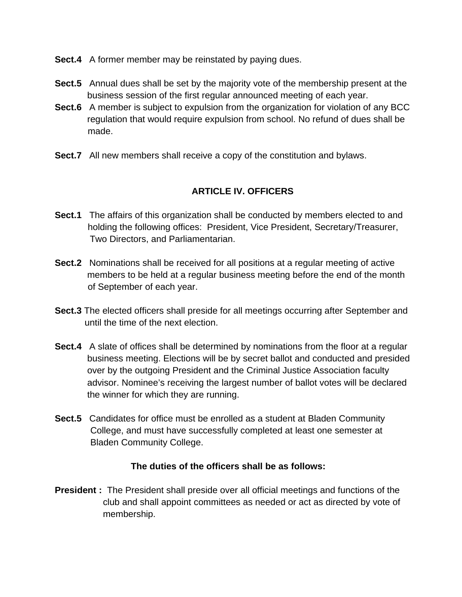- **Sect.4** A former member may be reinstated by paying dues.
- **Sect.5** Annual dues shall be set by the majority vote of the membership present at the business session of the first regular announced meeting of each year.
- **Sect.6** A member is subject to expulsion from the organization for violation of any BCC regulation that would require expulsion from school. No refund of dues shall be made.
- **Sect.7** All new members shall receive a copy of the constitution and bylaws.

# **ARTICLE IV. OFFICERS**

- **Sect.1** The affairs of this organization shall be conducted by members elected to and holding the following offices: President, Vice President, Secretary/Treasurer, Two Directors, and Parliamentarian.
- **Sect.2** Nominations shall be received for all positions at a regular meeting of active members to be held at a regular business meeting before the end of the month of September of each year.
- **Sect.3** The elected officers shall preside for all meetings occurring after September and until the time of the next election.
- **Sect.4** A slate of offices shall be determined by nominations from the floor at a regular business meeting. Elections will be by secret ballot and conducted and presided over by the outgoing President and the Criminal Justice Association faculty advisor. Nominee's receiving the largest number of ballot votes will be declared the winner for which they are running.
- **Sect.5** Candidates for office must be enrolled as a student at Bladen Community College, and must have successfully completed at least one semester at Bladen Community College.

## **The duties of the officers shall be as follows:**

**President :** The President shall preside over all official meetings and functions of the club and shall appoint committees as needed or act as directed by vote of membership.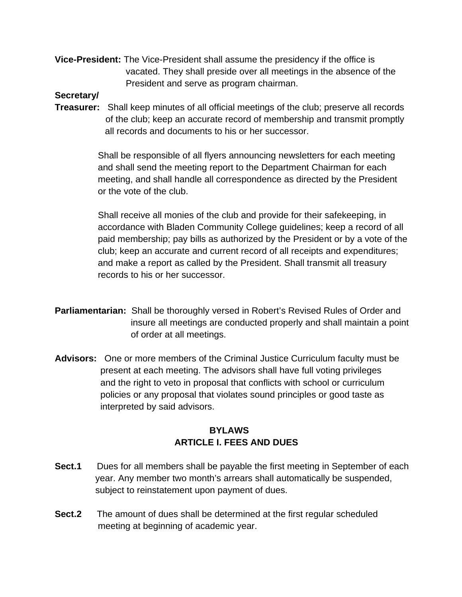**Vice-President:** The Vice-President shall assume the presidency if the office is vacated. They shall preside over all meetings in the absence of the President and serve as program chairman.

### **Secretary/**

**Treasurer:** Shall keep minutes of all official meetings of the club; preserve all records of the club; keep an accurate record of membership and transmit promptly all records and documents to his or her successor.

> Shall be responsible of all flyers announcing newsletters for each meeting and shall send the meeting report to the Department Chairman for each meeting, and shall handle all correspondence as directed by the President or the vote of the club.

 Shall receive all monies of the club and provide for their safekeeping, in accordance with Bladen Community College guidelines; keep a record of all paid membership; pay bills as authorized by the President or by a vote of the club; keep an accurate and current record of all receipts and expenditures; and make a report as called by the President. Shall transmit all treasury records to his or her successor.

- **Parliamentarian:** Shall be thoroughly versed in Robert's Revised Rules of Order and insure all meetings are conducted properly and shall maintain a point of order at all meetings.
- **Advisors:** One or more members of the Criminal Justice Curriculum faculty must be present at each meeting. The advisors shall have full voting privileges and the right to veto in proposal that conflicts with school or curriculum policies or any proposal that violates sound principles or good taste as interpreted by said advisors.

## **BYLAWS ARTICLE I. FEES AND DUES**

- **Sect.1** Dues for all members shall be payable the first meeting in September of each year. Any member two month's arrears shall automatically be suspended, subject to reinstatement upon payment of dues.
- **Sect.2** The amount of dues shall be determined at the first regular scheduled meeting at beginning of academic year.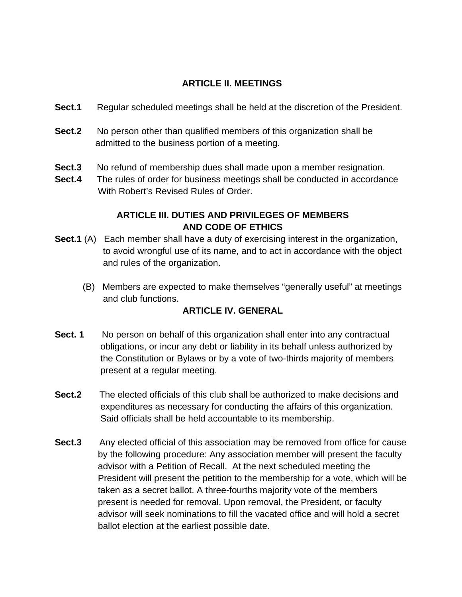## **ARTICLE II. MEETINGS**

- **Sect.1** Regular scheduled meetings shall be held at the discretion of the President.
- **Sect.2** No person other than qualified members of this organization shall be admitted to the business portion of a meeting.
- **Sect.3** No refund of membership dues shall made upon a member resignation.
- **Sect.4** The rules of order for business meetings shall be conducted in accordance With Robert's Revised Rules of Order.

## **ARTICLE III. DUTIES AND PRIVILEGES OF MEMBERS AND CODE OF ETHICS**

- **Sect.1** (A) Each member shall have a duty of exercising interest in the organization, to avoid wrongful use of its name, and to act in accordance with the object and rules of the organization.
	- (B) Members are expected to make themselves "generally useful" at meetings and club functions.

## **ARTICLE IV. GENERAL**

- **Sect. 1** No person on behalf of this organization shall enter into any contractual obligations, or incur any debt or liability in its behalf unless authorized by the Constitution or Bylaws or by a vote of two-thirds majority of members present at a regular meeting.
- **Sect.2** The elected officials of this club shall be authorized to make decisions and expenditures as necessary for conducting the affairs of this organization. Said officials shall be held accountable to its membership.
- **Sect.3** Any elected official of this association may be removed from office for cause by the following procedure: Any association member will present the faculty advisor with a Petition of Recall. At the next scheduled meeting the President will present the petition to the membership for a vote, which will be taken as a secret ballot. A three-fourths majority vote of the members present is needed for removal. Upon removal, the President, or faculty advisor will seek nominations to fill the vacated office and will hold a secret ballot election at the earliest possible date.